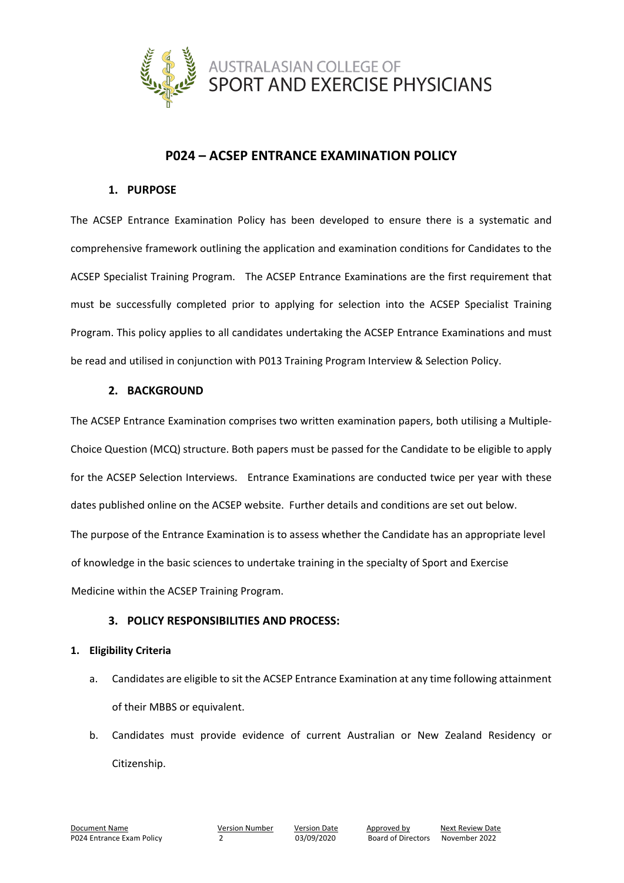

# **P024 – ACSEP ENTRANCE EXAMINATION POLICY**

### **1. PURPOSE**

The ACSEP Entrance Examination Policy has been developed to ensure there is a systematic and comprehensive framework outlining the application and examination conditions for Candidates to the ACSEP Specialist Training Program. The ACSEP Entrance Examinations are the first requirement that must be successfully completed prior to applying for selection into the ACSEP Specialist Training Program. This policy applies to all candidates undertaking the ACSEP Entrance Examinations and must be read and utilised in conjunction with P013 Training Program Interview & Selection Policy.

### **2. BACKGROUND**

The ACSEP Entrance Examination comprises two written examination papers, both utilising a Multiple-Choice Question (MCQ) structure. Both papers must be passed for the Candidate to be eligible to apply for the ACSEP Selection Interviews. Entrance Examinations are conducted twice per year with these dates published online on the ACSEP website. Further details and conditions are set out below. The purpose of the Entrance Examination is to assess whether the Candidate has an appropriate level of knowledge in the basic sciences to undertake training in the specialty of Sport and Exercise Medicine within the ACSEP Training Program.

## **3. POLICY RESPONSIBILITIES AND PROCESS:**

### **1. Eligibility Criteria**

- a. Candidates are eligible to sit the ACSEP Entrance Examination at any time following attainment of their MBBS or equivalent.
- b. Candidates must provide evidence of current Australian or New Zealand Residency or Citizenship.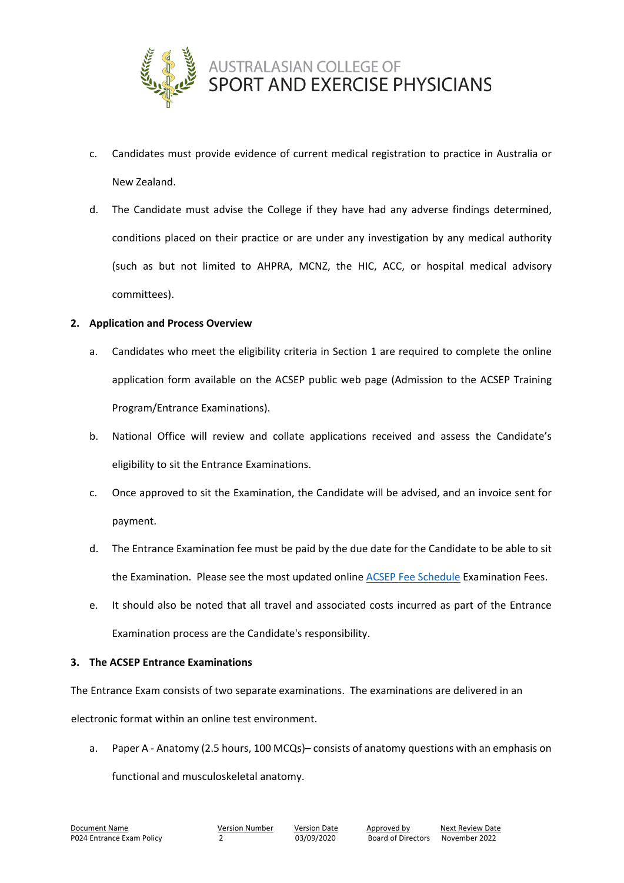

- c. Candidates must provide evidence of current medical registration to practice in Australia or New Zealand.
- d. The Candidate must advise the College if they have had any adverse findings determined, conditions placed on their practice or are under any investigation by any medical authority (such as but not limited to AHPRA, MCNZ, the HIC, ACC, or hospital medical advisory committees).

### **2. Application and Process Overview**

- a. Candidates who meet the eligibility criteria in Section 1 are required to complete the online application form available on the ACSEP public web page (Admission to the ACSEP Training Program/Entrance Examinations).
- b. National Office will review and collate applications received and assess the Candidate's eligibility to sit the Entrance Examinations.
- c. Once approved to sit the Examination, the Candidate will be advised, and an invoice sent for payment.
- d. The Entrance Examination fee must be paid by the due date for the Candidate to be able to sit the Examination. Please see the most updated onlin[e ACSEP Fee Schedule](https://www.acsep.org.au/page/resources/fees) Examination Fees.
- e. It should also be noted that all travel and associated costs incurred as part of the Entrance Examination process are the Candidate's responsibility.

#### **3. The ACSEP Entrance Examinations**

The Entrance Exam consists of two separate examinations. The examinations are delivered in an electronic format within an online test environment.

a. Paper A - Anatomy (2.5 hours, 100 MCQs)– consists of anatomy questions with an emphasis on

functional and musculoskeletal anatomy.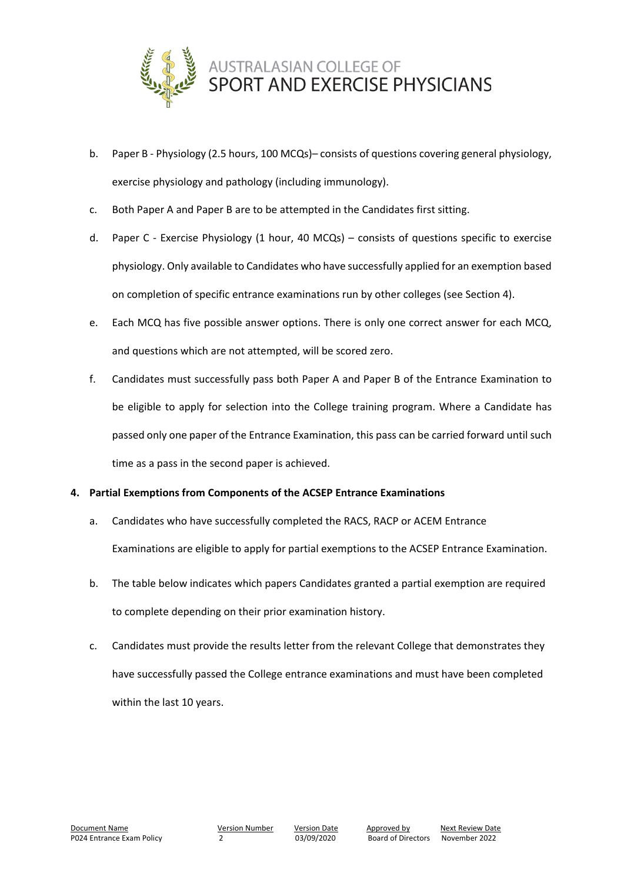

- b. Paper B Physiology (2.5 hours, 100 MCQs) consists of questions covering general physiology, exercise physiology and pathology (including immunology).
- c. Both Paper A and Paper B are to be attempted in the Candidates first sitting.
- d. Paper C Exercise Physiology (1 hour, 40 MCQs) consists of questions specific to exercise physiology. Only available to Candidates who have successfully applied for an exemption based on completion of specific entrance examinations run by other colleges (see Section 4).
- e. Each MCQ has five possible answer options. There is only one correct answer for each MCQ, and questions which are not attempted, will be scored zero.
- f. Candidates must successfully pass both Paper A and Paper B of the Entrance Examination to be eligible to apply for selection into the College training program. Where a Candidate has passed only one paper of the Entrance Examination, this pass can be carried forward until such time as a pass in the second paper is achieved.

### **4. Partial Exemptions from Components of the ACSEP Entrance Examinations**

- a. Candidates who have successfully completed the RACS, RACP or ACEM Entrance Examinations are eligible to apply for partial exemptions to the ACSEP Entrance Examination.
- b. The table below indicates which papers Candidates granted a partial exemption are required to complete depending on their prior examination history.
- c. Candidates must provide the results letter from the relevant College that demonstrates they have successfully passed the College entrance examinations and must have been completed within the last 10 years.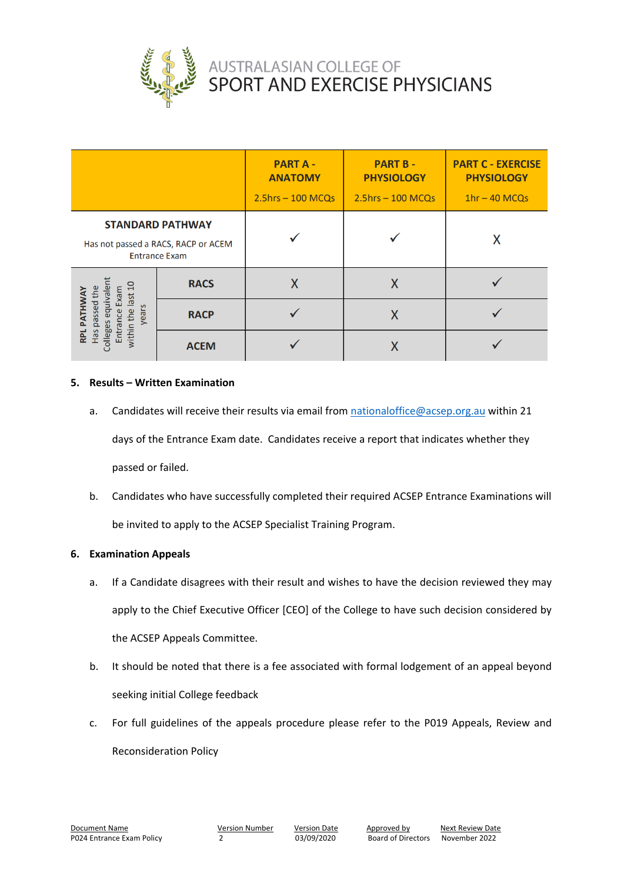

|                                                                                            |             | <b>PART A-</b><br><b>ANATOMY</b><br>$2.5$ hrs - 100 MCQs | <b>PART B-</b><br><b>PHYSIOLOGY</b><br>$2.5$ hrs $-100$ MCQs | <b>PART C - EXERCISE</b><br><b>PHYSIOLOGY</b><br>$1hr - 40 MCOs$ |
|--------------------------------------------------------------------------------------------|-------------|----------------------------------------------------------|--------------------------------------------------------------|------------------------------------------------------------------|
| <b>STANDARD PATHWAY</b><br>Has not passed a RACS, RACP or ACEM<br><b>Entrance Exam</b>     |             |                                                          |                                                              | Χ                                                                |
| $\Xi$<br><b>ATHWA</b><br>last<br>ssed<br>years<br>within the<br>ollege<br>Has<br>Enti<br>흕 | <b>RACS</b> |                                                          | X                                                            |                                                                  |
|                                                                                            | <b>RACP</b> |                                                          | Χ                                                            |                                                                  |
|                                                                                            | <b>ACEM</b> |                                                          |                                                              |                                                                  |

#### **5. Results – Written Examination**

- a. Candidates will receive their results via email from [nationaloffice@acsep.org.au](mailto:nationaloffice@acsep.org.au) within 21 days of the Entrance Exam date. Candidates receive a report that indicates whether they passed or failed.
- b. Candidates who have successfully completed their required ACSEP Entrance Examinations will be invited to apply to the ACSEP Specialist Training Program.

#### **6. Examination Appeals**

- a. If a Candidate disagrees with their result and wishes to have the decision reviewed they may apply to the Chief Executive Officer [CEO] of the College to have such decision considered by the ACSEP Appeals Committee.
- b. It should be noted that there is a fee associated with formal lodgement of an appeal beyond seeking initial College feedback
- c. For full guidelines of the appeals procedure please refer to the P019 Appeals, Review and Reconsideration Policy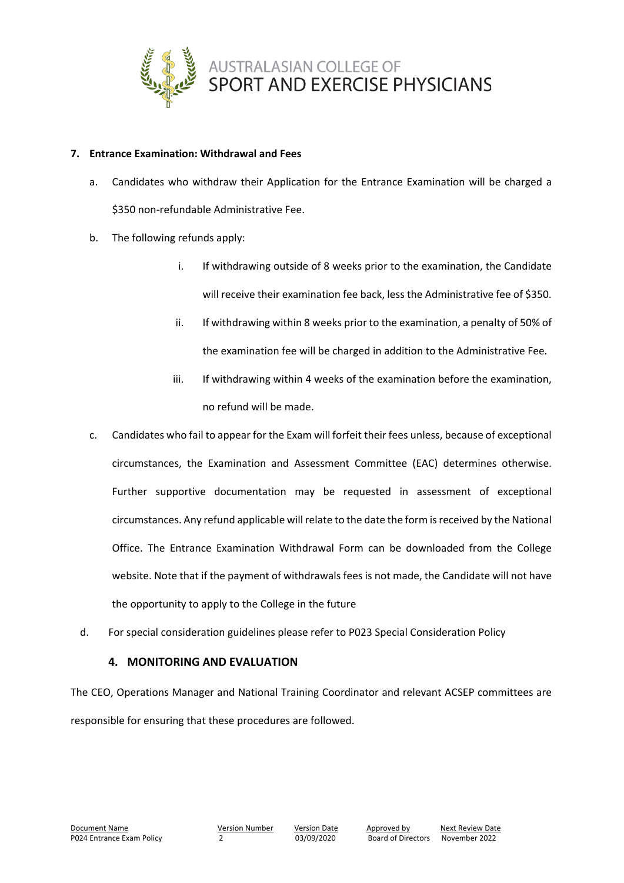

#### **7. Entrance Examination: Withdrawal and Fees**

- a. Candidates who withdraw their Application for the Entrance Examination will be charged a \$350 non-refundable Administrative Fee.
- b. The following refunds apply:
	- i. If withdrawing outside of 8 weeks prior to the examination, the Candidate will receive their examination fee back, less the Administrative fee of \$350.
	- ii. If withdrawing within 8 weeks prior to the examination, a penalty of 50% of the examination fee will be charged in addition to the Administrative Fee.
	- iii. If withdrawing within 4 weeks of the examination before the examination, no refund will be made.
- c. Candidates who fail to appear for the Exam will forfeit their fees unless, because of exceptional circumstances, the Examination and Assessment Committee (EAC) determines otherwise. Further supportive documentation may be requested in assessment of exceptional circumstances. Any refund applicable will relate to the date the form is received by the National Office. The Entrance Examination Withdrawal Form can be downloaded from the College website. Note that if the payment of withdrawals fees is not made, the Candidate will not have the opportunity to apply to the College in the future
- d. For special consideration guidelines please refer to P023 Special Consideration Policy

### **4. MONITORING AND EVALUATION**

The CEO, Operations Manager and National Training Coordinator and relevant ACSEP committees are responsible for ensuring that these procedures are followed.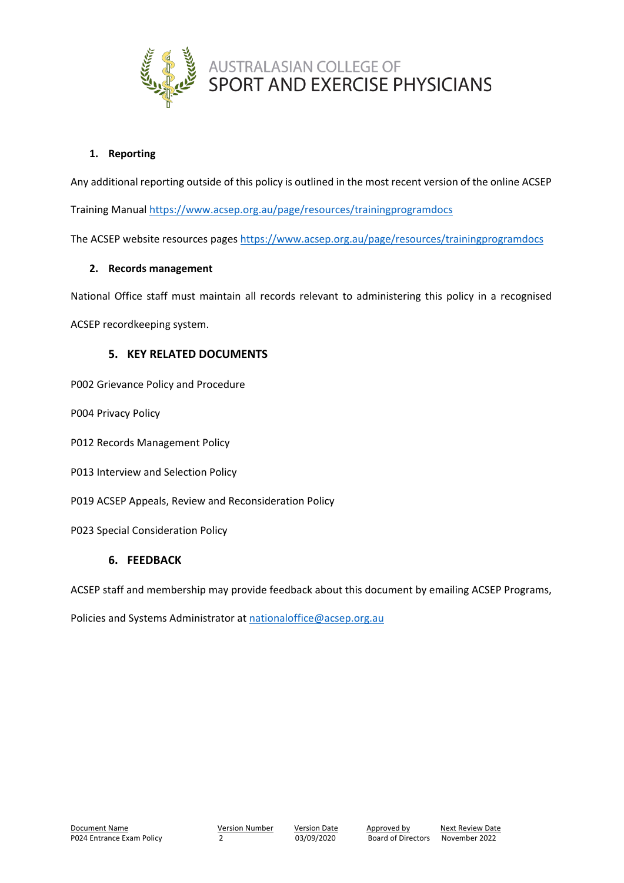

### **1. Reporting**

Any additional reporting outside of this policy is outlined in the most recent version of the online ACSEP

Training Manual <https://www.acsep.org.au/page/resources/trainingprogramdocs>

The ACSEP website resources pages <https://www.acsep.org.au/page/resources/trainingprogramdocs>

#### **2. Records management**

National Office staff must maintain all records relevant to administering this policy in a recognised

ACSEP recordkeeping system.

### **5. KEY RELATED DOCUMENTS**

P002 Grievance Policy and Procedure

P004 Privacy Policy

- P012 Records Management Policy
- P013 Interview and Selection Policy
- P019 ACSEP Appeals, Review and Reconsideration Policy
- P023 Special Consideration Policy

#### **6. FEEDBACK**

ACSEP staff and membership may provide feedback about this document by emailing ACSEP Programs,

Policies and Systems Administrator at [nationaloffice@acsep.org.au](mailto:nationaloffice@acsep.org.au)